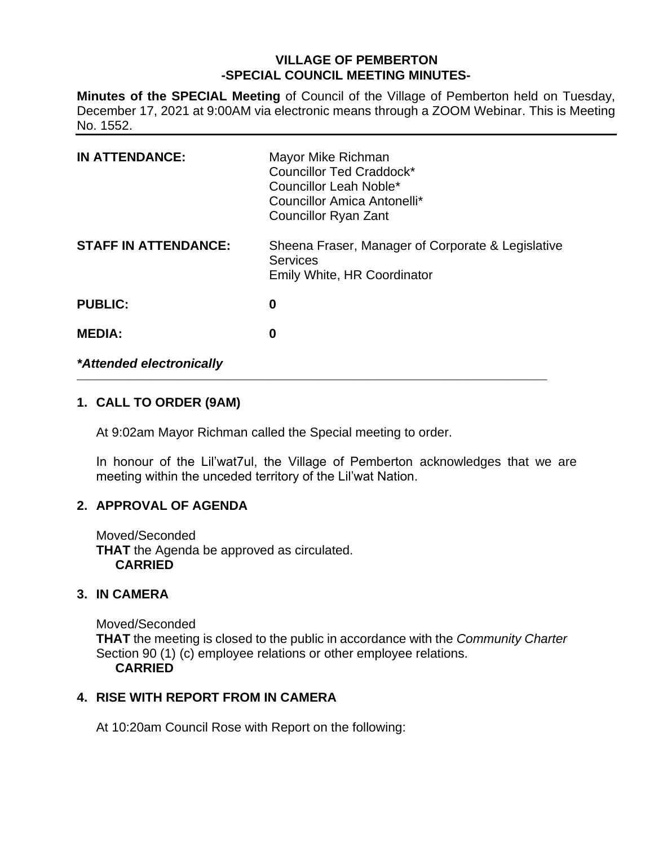# **VILLAGE OF PEMBERTON -SPECIAL COUNCIL MEETING MINUTES-**

**Minutes of the SPECIAL Meeting** of Council of the Village of Pemberton held on Tuesday, December 17, 2021 at 9:00AM via electronic means through a ZOOM Webinar. This is Meeting No. 1552.

| <b>IN ATTENDANCE:</b>       | Mayor Mike Richman<br>Councillor Ted Craddock*<br>Councillor Leah Noble*<br>Councillor Amica Antonelli*<br><b>Councillor Ryan Zant</b> |
|-----------------------------|----------------------------------------------------------------------------------------------------------------------------------------|
| <b>STAFF IN ATTENDANCE:</b> | Sheena Fraser, Manager of Corporate & Legislative<br><b>Services</b><br>Emily White, HR Coordinator                                    |
| <b>PUBLIC:</b>              | 0                                                                                                                                      |
| <b>MEDIA:</b>               | 0                                                                                                                                      |
| *Attended electronically    |                                                                                                                                        |

\_\_\_\_\_\_\_\_\_\_\_\_\_\_\_\_\_\_\_\_\_\_\_\_\_\_\_\_\_\_\_\_\_\_\_\_\_\_\_\_\_\_\_\_\_\_\_\_\_\_\_\_\_\_\_\_\_\_\_\_\_\_\_\_\_\_\_\_\_\_\_\_\_\_\_\_\_\_\_\_\_\_\_\_\_\_\_\_\_\_\_\_\_\_\_\_\_\_\_

# **1. CALL TO ORDER (9AM)**

At 9:02am Mayor Richman called the Special meeting to order.

In honour of the Lil'wat7ul, the Village of Pemberton acknowledges that we are meeting within the unceded territory of the Lil'wat Nation.

### **2. APPROVAL OF AGENDA**

Moved/Seconded **THAT** the Agenda be approved as circulated. **CARRIED**

### **3. IN CAMERA**

Moved/Seconded **THAT** the meeting is closed to the public in accordance with the *Community Charter* Section 90 (1) (c) employee relations or other employee relations. **CARRIED**

### **4. RISE WITH REPORT FROM IN CAMERA**

At 10:20am Council Rose with Report on the following: